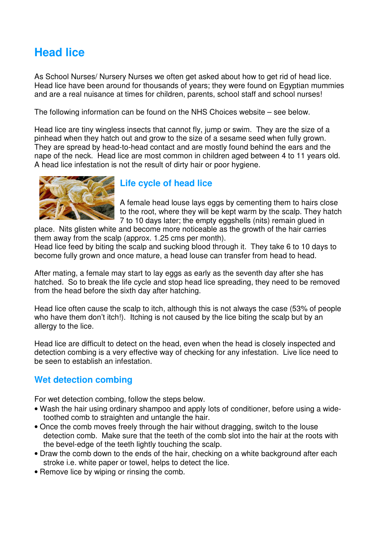## **Head lice**

As School Nurses/ Nursery Nurses we often get asked about how to get rid of head lice. Head lice have been around for thousands of years; they were found on Egyptian mummies and are a real nuisance at times for children, parents, school staff and school nurses!

The following information can be found on the NHS Choices website – see below.

Head lice are tiny wingless insects that cannot fly, jump or swim. They are the size of a pinhead when they hatch out and grow to the size of a sesame seed when fully grown. They are spread by head-to-head contact and are mostly found behind the ears and the nape of the neck. Head lice are most common in children aged between 4 to 11 years old. A head lice infestation is not the result of dirty hair or poor hygiene.



## **Life cycle of head lice**

A female head louse lays eggs by cementing them to hairs close to the root, where they will be kept warm by the scalp. They hatch 7 to 10 days later; the empty eggshells (nits) remain glued in

place. Nits glisten white and become more noticeable as the growth of the hair carries them away from the scalp (approx. 1.25 cms per month).

Head lice feed by biting the scalp and sucking blood through it. They take 6 to 10 days to become fully grown and once mature, a head louse can transfer from head to head.

After mating, a female may start to lay eggs as early as the seventh day after she has hatched. So to break the life cycle and stop head lice spreading, they need to be removed from the head before the sixth day after hatching.

Head lice often cause the scalp to itch, although this is not always the case (53% of people who have them don't itch!). Itching is not caused by the lice biting the scalp but by an allergy to the lice.

Head lice are difficult to detect on the head, even when the head is closely inspected and detection combing is a very effective way of checking for any infestation. Live lice need to be seen to establish an infestation.

## **Wet detection combing**

For wet detection combing, follow the steps below.

- Wash the hair using ordinary shampoo and apply lots of conditioner, before using a widetoothed comb to straighten and untangle the hair.
- Once the comb moves freely through the hair without dragging, switch to the louse detection comb. Make sure that the teeth of the comb slot into the hair at the roots with the bevel-edge of the teeth lightly touching the scalp.
- Draw the comb down to the ends of the hair, checking on a white background after each stroke i.e. white paper or towel, helps to detect the lice.
- Remove lice by wiping or rinsing the comb.